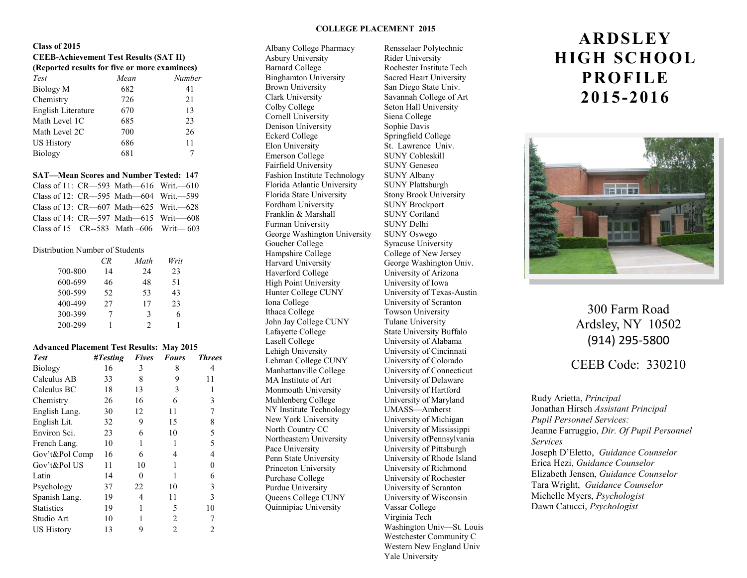#### **COLLEGE PLACEMENT 2015**

#### **Class of 2015**

### **CEEB-Achievement Test Results (SAT II)**

| (Reported results for five or more examinees) |      |        |  |
|-----------------------------------------------|------|--------|--|
| Test                                          | Mean | Number |  |
| Biology M                                     | 682  | 41     |  |
| Chemistry                                     | 726  | 21     |  |
| English Literature                            | 670  | 13     |  |
| Math Level 1C                                 | 685  | 23     |  |
| Math Level 2C                                 | 700  | 26     |  |
| <b>US History</b>                             | 686  | 11     |  |
| Biology                                       | 681  |        |  |

#### **SAT—Mean Scores and Number Tested: 147**

| Class of 11: $CR$ —593 Math—616 Writ.—610    |  |
|----------------------------------------------|--|
| Class of 12: CR—595 Math—604 Writ.—599       |  |
| Class of 13: CR—607 Math—625 Writ.—628       |  |
| Class of 14: $CR$ —597 Math—615 Writ—–608    |  |
| Class of 15 $CR-583$ Math $-606$ Writ $-603$ |  |

#### Distribution Number of Students

|         | CR. | Math | Writ |
|---------|-----|------|------|
| 700-800 | 14  | 2.4  | 23   |
| 600-699 | 46  | 48   | 51   |
| 500-599 | 52  | 53   | 43   |
| 400-499 | 27  | 17   | 23   |
| 300-399 |     | 3    | 6    |
| 200-299 |     | າ    |      |

#### **Advanced Placement Test Results: May 2015**

| <b>Test</b>       | $\#Testing$ | <b>Fives</b> | <b>Fours</b> | <b>Threes</b> |
|-------------------|-------------|--------------|--------------|---------------|
| <b>Biology</b>    | 16          | 3            | 8            | 4             |
| Calculus AB       | 33          | 8            | 9            | 11            |
| Calculus BC       | 18          | 13           | 3            |               |
| Chemistry         | 26          | 16           | 6            | 3             |
| English Lang.     | 30          | 12           | 11           | 7             |
| English Lit.      | 32          | 9            | 15           | 8             |
| Environ Sci.      | 23          | 6            | 10           | 5             |
| French Lang.      | 10          | 1            | 1            | 5             |
| Gov't&Pol Comp    | 16          | 6            | 4            | 4             |
| Gov't&Pol US      | 11          | 10           |              | 0             |
| Latin             | 14          | $\theta$     | 1            | 6             |
| Psychology        | 37          | 22           | 10           | 3             |
| Spanish Lang.     | 19          | 4            | 11           | 3             |
| <b>Statistics</b> | 19          | 1            | 5            | 10            |
| Studio Art        | 10          |              | 2            |               |
| <b>US History</b> | 13          | 9            | 2            | 2             |

Asbury University Rider University Barnard College Rochester Institute Tech Binghamton University Sacred Heart University Brown University San Diego State Univ. Clark University Savannah College of Art Colby College Seton Hall University Cornell University Siena College Denison University Sophie Davis Eckerd College Springfield College Elon University St. Lawrence Univ. Emerson College SUNY Cobleskill Fairfield University SUNY Geneseo Fashion Institute Technology SUNY Albany Florida Atlantic University SUNY Plattsburgh Florida State University Stony Brook University Fordham University SUNY Brockport Franklin & Marshall SUNY Cortland Furman University SUNY Delhi George Washington University SUNY Oswego Goucher College Syracuse University Hampshire College College of New Jersey<br>
Harvard University<br>
George Washington Ur Haverford College University of Arizona<br>
High Point University University of Iowa High Point University Hunter College CUNY University of Texas-Austin Iona College University of Scranton Ithaca College Towson University John Jay College CUNY Tulane University<br>Lafayette College State University B Lasell College University of Alabama Lehigh University University of Cincinnati Lehman College CUNY University of Colorado Manhattanville College University of Connecticut MA Institute of Art University of Delaware Monmouth University University of Hartford Muhlenberg College University of Maryland NY Institute Technology UMASS—Amherst<br>New York University University of Michi North Country CC University of Mississippi Northeastern University University ofPennsylvania Pace University University of Pittsburgh Penn State University University of Rhode Island Princeton University University of Richmond Purchase College University of Rochester Purdue University University of Scranton Queens College CUNY University of Wisconsin Quinnipiac University Vassar College

Albany College Pharmacy Rensselaer Polytechnic George Washington Univ. State University Buffalo University of Michigan Virginia Tech Washington Univ—St. Louis Westchester Community C Western New England Univ

Yale University

# **ARDSLEY HIGH SCHOOL PROFILE 2015-2016**



## 300 Farm Road Ardsley, NY 10502 (914) 295-5800

CEEB Code: 330210

Rudy Arietta, *Principal* Jonathan Hirsch *Assistant Principal Pupil Personnel Services:* Jeanne Farruggio, *Dir. Of Pupil Personnel Services* Joseph D'Eletto, *Guidance Counselor* Erica Hezi, *Guidance Counselor* Elizabeth Jensen, *Guidance Counselor* Tara Wright, *Guidance Counselor* Michelle Myers, *Psychologist* Dawn Catucci, *Psychologist*